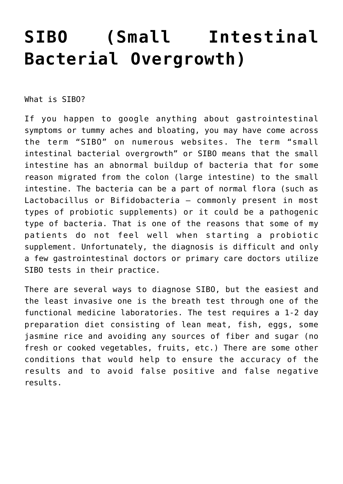## **[SIBO \(Small Intestinal](https://sproutshealth.com/sibo-small-intestinal-bacterial-overgrowth/) [Bacterial Overgrowth\)](https://sproutshealth.com/sibo-small-intestinal-bacterial-overgrowth/)**

What is SIBO?

If you happen to google anything about gastrointestinal symptoms or tummy aches and bloating, you may have come across the term "SIBO" on numerous websites. The term "small intestinal bacterial overgrowth" or SIBO means that the small intestine has an abnormal buildup of bacteria that for some reason migrated from the colon (large intestine) to the small intestine. The bacteria can be a part of normal flora (such as Lactobacillus or Bifidobacteria – commonly present in most types of probiotic supplements) or it could be a pathogenic type of bacteria. That is one of the reasons that some of my patients do not feel well when starting a probiotic supplement. Unfortunately, the diagnosis is difficult and only a few gastrointestinal doctors or primary care doctors utilize SIBO tests in their practice.

There are several ways to diagnose SIBO, but the easiest and the least invasive one is the breath test through one of the functional medicine laboratories. The test requires a 1-2 day preparation diet consisting of lean meat, fish, eggs, some jasmine rice and avoiding any sources of fiber and sugar (no fresh or cooked vegetables, fruits, etc.) There are some other conditions that would help to ensure the accuracy of the results and to avoid false positive and false negative results.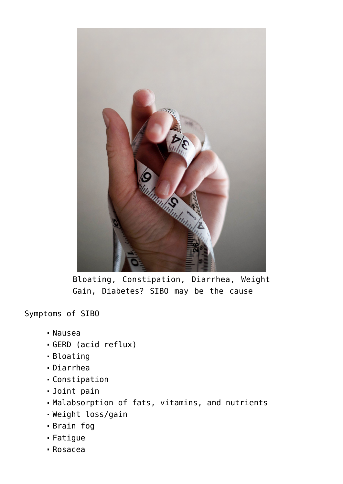

Bloating, Constipation, Diarrhea, Weight Gain, Diabetes? SIBO may be the cause

Symptoms of SIBO

- Nausea
- GERD (acid reflux)
- Bloating
- Diarrhea
- Constipation
- Joint pain
- Malabsorption of fats, vitamins, and nutrients
- Weight loss/gain
- Brain fog
- Fatigue
- Rosacea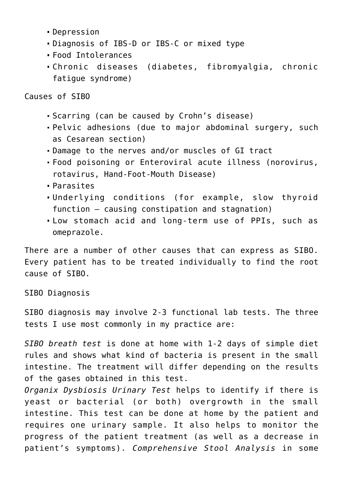- Depression
- Diagnosis of IBS-D or IBS-C or mixed type
- Food Intolerances
- Chronic diseases (diabetes, fibromyalgia, chronic fatigue syndrome)

Causes of SIBO

- Scarring (can be caused by Crohn's disease)
- Pelvic adhesions (due to major abdominal surgery, such as Cesarean section)
- Damage to the nerves and/or muscles of GI tract
- Food poisoning or Enteroviral acute illness (norovirus, rotavirus, Hand-Foot-Mouth Disease)
- Parasites
- Underlying conditions (for example, slow thyroid function – causing constipation and stagnation)
- Low stomach acid and long-term use of PPIs, such as omeprazole.

There are a number of other causes that can express as SIBO. Every patient has to be treated individually to find the root cause of SIBO.

SIBO Diagnosis

SIBO diagnosis may involve 2-3 functional lab tests. The three tests I use most commonly in my practice are:

*SIBO breath test* is done at home with 1-2 days of simple diet rules and shows what kind of bacteria is present in the small intestine. The treatment will differ depending on the results of the gases obtained in this test.

*Organix Dysbiosis Urinary Test* helps to identify if there is yeast or bacterial (or both) overgrowth in the small intestine. This test can be done at home by the patient and requires one urinary sample. It also helps to monitor the progress of the patient treatment (as well as a decrease in patient's symptoms). *Comprehensive Stool Analysis* in some